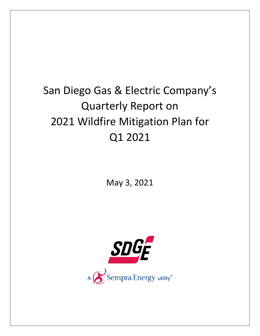# San Diego Gas & Electric Company's Quarterly Report on 2021 Wildfire Mitigation Plan for Q1 2021

May 3, 2021

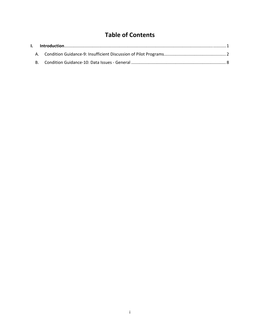# **Table of Contents**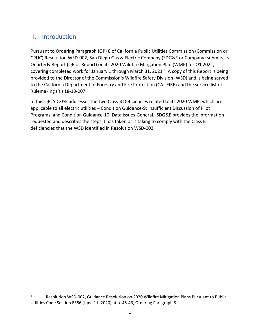## I. Introduction

Pursuant to Ordering Paragraph (OP) 8 of California Public Utilities Commission (Commission or CPUC) Resolution WSD‐002, San Diego Gas & Electric Company (SDG&E or Company) submits its Quarterly Report (QR or Report) on its 2020 Wildfire Mitigation Plan (WMP) for Q1 2021, covering completed work for January 1 through March 31, 2021. $<sup>1</sup>$  A copy of this Report is being</sup> provided to the Director of the Commission's Wildfire Safety Division (WSD) and is being served to the California Department of Forestry and Fire Protection (CAL FIRE) and the service list of Rulemaking (R.) 18‐10‐007.

In this QR, SDG&E addresses the two Class B Deficiencies related to its 2020 WMP, which are applicable to all electric utilities – Condition Guidance‐9: Insufficient Discussion of Pilot Programs, and Condition Guidance‐10: Data Issues‐General. SDG&E provides the information requested and describes the steps it has taken or is taking to comply with the Class B deficiencies that the WSD identified in Resolution WSD‐002.

<sup>1</sup> Resolution WSD‐002, Guidance Resolution on 2020 Wildfire Mitigation Plans Pursuant to Public Utilities Code Section 8386 (June 11, 2020) at p. 45‐46, Ordering Paragraph 8.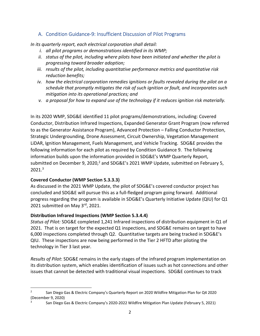## A. Condition Guidance‐9: Insufficient Discussion of Pilot Programs

*In its quarterly report, each electrical corporation shall detail:*

- *i. all pilot programs or demonstrations identified in its WMP;*
- *ii. status of the pilot, including where pilots have been initiated and whether the pilot is progressing toward broader adoption;*
- *iii. results of the pilot, including quantitative performance metrics and quantitative risk reduction benefits;*
- *iv. how the electrical corporation remedies ignitions or faults revealed during the pilot on a schedule that promptly mitigates the risk of such ignition or fault, and incorporates such mitigation into its operational practices; and*
- *v. a proposal for how to expand use of the technology if it reduces ignition risk materially.*

In its 2020 WMP, SDG&E identified 11 pilot programs/demonstrations, including: Covered Conductor, Distribution Infrared Inspections, Expanded Generator Grant Program (now referred to as the Generator Assistance Program), Advanced Protection – Falling Conductor Protection, Strategic Undergrounding, Drone Assessment, Circuit Ownership, Vegetation Management LiDAR, Ignition Management, Fuels Management, and Vehicle Tracking. SDG&E provides the following information for each pilot as required by Condition Guidance 9. The following information builds upon the information provided in SDG&E's WMP Quarterly Report, submitted on December 9, 2020, $^2$  and SDG&E's 2021 WMP Update, submitted on February 5, 2021.3

#### **Covered Conductor (WMP Section 5.3.3.3)**

As discussed in the 2021 WMP Update, the pilot of SDG&E's covered conductor project has concluded and SDG&E will pursue this as a full‐fledged program going forward. Additional progress regarding the program is available in SDG&E's Quarterly Initiative Update (QIU) for Q1 2021 submitted on May 3rd, 2021.

#### **Distribution Infrared Inspections (WMP Section 5.3.4.4)**

*Status of Pilot:* SDG&E completed 1,241 Infrared inspections of distribution equipment in Q1 of 2021. That is on target for the expected Q1 inspections, and SDG&E remains on target to have 6,000 inspections completed through Q2. Quantitative targets are being tracked in SDG&E's QIU. These inspections are now being performed in the Tier 2 HFTD after piloting the technology in Tier 3 last year.

*Results of Pilot*: SDG&E remains in the early stages of the infrared program implementation on its distribution system, which enables identification of issues such as hot connections and other issues that cannot be detected with traditional visual inspections. SDG&E continues to track

<sup>2</sup> San Diego Gas & Electric Company's Quarterly Report on 2020 Wildfire Mitigation Plan for Q4 2020 (December 9, 2020)

<sup>3</sup> San Diego Gas & Electric Company's 2020‐2022 Wildfire Mitigation Plan Update (February 5, 2021)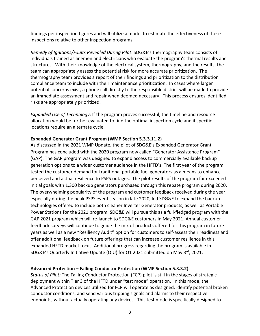findings per inspection figures and will utilize a model to estimate the effectiveness of these inspections relative to other inspection programs.

*Remedy of Ignitions/Faults Revealed During Pilot*: SDG&E's thermography team consists of individuals trained as linemen and electricians who evaluate the program's thermal results and structures. With their knowledge of the electrical system, thermography, and the results, the team can appropriately assess the potential risk for more accurate prioritization. The thermography team provides a report of their findings and prioritization to the distribution compliance team to include with their maintenance prioritization. In cases where larger potential concerns exist, a phone call directly to the responsible district will be made to provide an immediate assessment and repair when deemed necessary. This process ensures identified risks are appropriately prioritized.

*Expanded Use of Technology*: If the program proves successful, the timeline and resource allocation would be further evaluated to find the optimal inspection cycle and if specific locations require an alternate cycle.

#### **Expanded Generator Grant Program (WMP Section 5.3.3.11.2)**

As discussed in the 2021 WMP Update, the pilot of SDG&E's Expanded Generator Grant Program has concluded with the 2020 program now called "Generator Assistance Program" (GAP). The GAP program was designed to expand access to commercially available backup generation options to a wider customer audience in the HFTD's. The first year of the program tested the customer demand for traditional portable fuel generators as a means to enhance perceived and actual resilience to PSPS outages. The pilot results of the program far exceeded initial goals with 1,300 backup generators purchased through this rebate program during 2020. The overwhelming popularity of the program and customer feedback received during the year, especially during the peak PSPS event season in late 2020, led SDG&E to expand the backup technologies offered to include both cleaner Inverter Generator products, as well as Portable Power Stations for the 2021 program. SDG&E will pursue this as a full‐fledged program with the GAP 2021 program which will re‐launch to SDG&E customers in May 2021. Annual customer feedback surveys will continue to guide the mix of products offered for this program in future years as well as a new "Resiliency Audit" option for customers to self‐assess their readiness and offer additional feedback on future offerings that can increase customer resilience in this expanded HFTD market focus. Additional progress regarding the program is available in SDG&E's Quarterly Initiative Update (QIU) for Q1 2021 submitted on May 3<sup>rd</sup>, 2021.

#### **Advanced Protection – Falling Conductor Protection (WMP Section 5.3.3.2)**

*Status of Pilot:* The Falling Conductor Protection (FCP) pilot is still in the stages of strategic deployment within Tier 3 of the HFTD under "test mode" operation. In this mode, the Advanced Protection devices utilized for FCP will operate as designed, identify potential broken conductor conditions, and send various tripping signals and alarms to their respective endpoints, without actually operating any devices. This test mode is specifically designed to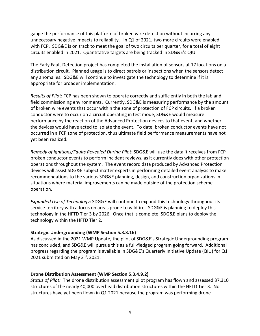gauge the performance of this platform of broken wire detection without incurring any unnecessary negative impacts to reliability. In Q1 of 2021, two more circuits were enabled with FCP. SDG&E is on track to meet the goal of two circuits per quarter, for a total of eight circuits enabled in 2021. Quantitative targets are being tracked in SDG&E's QIU.

The Early Fault Detection project has completed the installation of sensors at 17 locations on a distribution circuit. Planned usage is to direct patrols or inspections when the sensors detect any anomalies. SDG&E will continue to investigate the technology to determine if it is appropriate for broader implementation.

*Results of Pilot*: FCP has been shown to operate correctly and sufficiently in both the lab and field commissioning environments. Currently, SDG&E is measuring performance by the amount of broken wire events that occur within the zone of protection of FCP circuits. If a broken conductor were to occur on a circuit operating in test mode, SDG&E would measure performance by the reaction of the Advanced Protection devices to that event, and whether the devices would have acted to isolate the event. To date, broken conductor events have not occurred in a FCP zone of protection, thus ultimate field performance measurements have not yet been realized.

*Remedy of Ignitions/Faults Revealed During Pilot*: SDG&E will use the data it receives from FCP broken conductor events to perform incident reviews, as it currently does with other protection operations throughout the system. The event record data produced by Advanced Protection devices will assist SDG&E subject matter experts in performing detailed event analysis to make recommendations to the various SDG&E planning, design, and construction organizations in situations where material improvements can be made outside of the protection scheme operation.

*Expanded Use of Technology*: SDG&E will continue to expand this technology throughout its service territory with a focus on areas prone to wildfire. SDG&E is planning to deploy this technology in the HFTD Tier 3 by 2026. Once that is complete, SDG&E plans to deploy the technology within the HFTD Tier 2.

#### **Strategic Undergrounding (WMP Section 5.3.3.16)**

As discussed in the 2021 WMP Update, the pilot of SDG&E's Strategic Undergrounding program has concluded, and SDG&E will pursue this as a full-fledged program going forward. Additional progress regarding the program is available in SDG&E's Quarterly Initiative Update (QIU) for Q1 2021 submitted on May 3rd, 2021.

#### **Drone Distribution Assessment (WMP Section 5.3.4.9.2)**

*Status of Pilot:* The drone distribution assessment pilot program has flown and assessed 37,310 structures of the nearly 40,000 overhead distribution structures within the HFTD Tier 3. No structures have yet been flown in Q1 2021 because the program was performing drone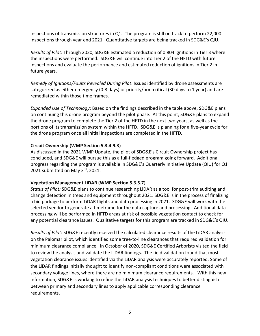inspections of transmission structures in Q1. The program is still on track to perform 22,000 inspections through year end 2021. Quantitative targets are being tracked in SDG&E's QIU.

*Results of Pilot*: Through 2020, SDG&E estimated a reduction of 0.804 ignitions in Tier 3 where the inspections were performed. SDG&E will continue into Tier 2 of the HFTD with future inspections and evaluate the performance and estimated reduction of ignitions in Tier 2 in future years.

*Remedy of Ignitions/Faults Revealed During Pilot*: Issues identified by drone assessments are categorized as either emergency (0‐3 days) or priority/non‐critical (30 days to 1 year) and are remediated within those time frames.

*Expanded Use of Technology*: Based on the findings described in the table above, SDG&E plans on continuing this drone program beyond the pilot phase. At this point, SDG&E plans to expand the drone program to complete the Tier 2 of the HFTD in the next two years, as well as the portions of its transmission system within the HFTD. SDG&E is planning for a five-year cycle for the drone program once all initial inspections are completed in the HFTD.

#### **Circuit Ownership (WMP Section 5.3.4.9.3)**

As discussed in the 2021 WMP Update, the pilot of SDG&E's Circuit Ownership project has concluded, and SDG&E will pursue this as a full‐fledged program going forward. Additional progress regarding the program is available in SDG&E's Quarterly Initiative Update (QIU) for Q1 2021 submitted on May 3rd, 2021.

#### **Vegetation Management LiDAR (WMP Section 5.3.5.7)**

*Status of Pilot:* SDG&E plans to continue researching LiDAR as a tool for post‐trim auditing and change detection in trees and equipment throughout 2021. SDG&E is in the process of finalizing a bid package to perform LiDAR flights and data processing in 2021. SDG&E will work with the selected vendor to generate a timeframe for the data capture and processing. Additional data processing will be performed in HFTD areas at risk of possible vegetation contact to check for any potential clearance issues. Qualitative targets for this program are tracked in SDG&E's QIU.

*Results of Pilot*: SDG&E recently received the calculated clearance results of the LiDAR analysis on the Palomar pilot, which identified some tree‐to‐line clearances that required validation for minimum clearance compliance. In October of 2020, SDG&E Certified Arborists visited the field to review the analysis and validate the LiDAR findings. The field validation found that most vegetation clearance issues identified via the LiDAR analysis were accurately reported. Some of the LiDAR findings initially thought to identify non‐compliant conditions were associated with secondary voltage lines, where there are no minimum clearance requirements. With this new information, SDG&E is working to refine the LiDAR analysis techniques to better distinguish between primary and secondary lines to apply applicable corresponding clearance requirements.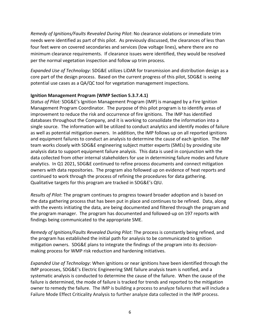*Remedy of Ignitions/Faults Revealed During Pilot*: No clearance violations or immediate trim needs were identified as part of this pilot. As previously discussed, the clearances of less than four feet were on covered secondaries and services (low voltage lines), where there are no minimum clearance requirements. If clearance issues were identified, they would be resolved per the normal vegetation inspection and follow up trim process.

*Expanded Use of Technology*: SDG&E utilizes LiDAR for transmission and distribution design as a core part of the design process. Based on the current progress of this pilot, SDG&E is seeing potential use cases as a QA/QC tool for vegetation management inspections.

#### **Ignition Management Program (WMP Section 5.3.7.4.1)**

*Status of Pilot:* SDG&E's Ignition Management Program (IMP) is managed by a Fire Ignition Management Program Coordinator. The purpose of this pilot program is to identify areas of improvement to reduce the risk and occurrence of fire ignitions. The IMP has identified databases throughout the Company, and it is working to consolidate the information into a single source. The information will be utilized to conduct analytics and identify modes of failure as well as potential mitigation owners. In addition, the IMP follows up on all reported ignitions and equipment failures to conduct an analysis to determine the cause of each ignition. The IMP team works closely with SDG&E engineering subject matter experts (SMEs) by providing site analysis data to support equipment failure analysis. This data is used in conjunction with the data collected from other internal stakeholders for use in determining failure modes and future analytics. In Q1 2021, SDG&E continued to refine process documents and connect mitigation owners with data repositories. The program also followed up on evidence of heat reports and continued to work through the process of refining the procedures for data gathering. Qualitative targets for this program are tracked in SDG&E's QIU.

*Results of Pilot*: The program continues to progress toward broader adoption and is based on the data gathering process that has been put in place and continues to be refined. Data, along with the events initiating the data, are being documented and filtered through the program and the program manager. The program has documented and followed‐up on 197 reports with findings being communicated to the appropriate SME.

*Remedy of Ignitions/Faults Revealed During Pilot*: The process is constantly being refined, and the program has established the initial path for analysis to be communicated to ignition mitigation owners. SDG&E plans to integrate the findings of the program into its decision‐ making process for WMP risk reduction and hardening initiatives.

*Expanded Use of Technology*: When ignitions or near ignitions have been identified through the IMP processes, SDG&E's Electric Engineering SME failure analysis team is notified, and a systematic analysis is conducted to determine the cause of the failure. When the cause of the failure is determined, the mode of failure is tracked for trends and reported to the mitigation owner to remedy the failure. The IMP is building a process to analyze failures that will include a Failure Mode Effect Criticality Analysis to further analyze data collected in the IMP process.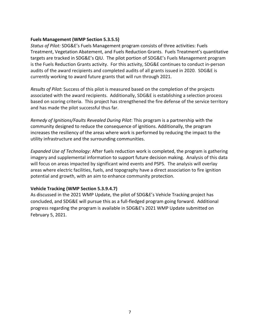#### **Fuels Management (WMP Section 5.3.5.5)**

*Status of Pilot:* SDG&E's Fuels Management program consists of three activities: Fuels Treatment, Vegetation Abatement, and Fuels Reduction Grants. Fuels Treatment's quantitative targets are tracked in SDG&E's QIU. The pilot portion of SDG&E's Fuels Management program is the Fuels Reduction Grants activity. For this activity, SDG&E continues to conduct in‐person audits of the award recipients and completed audits of all grants issued in 2020. SDG&E is currently working to award future grants that will run through 2021.

*Results of Pilot*: Success of this pilot is measured based on the completion of the projects associated with the award recipients. Additionally, SDG&E is establishing a selection process based on scoring criteria. This project has strengthened the fire defense of the service territory and has made the pilot successful thus far.

*Remedy of Ignitions/Faults Revealed During Pilot*: This program is a partnership with the community designed to reduce the consequence of ignitions. Additionally, the program increases the resiliency of the areas where work is performed by reducing the impact to the utility infrastructure and the surrounding communities.

*Expanded Use of Technology*: After fuels reduction work is completed, the program is gathering imagery and supplemental information to support future decision making. Analysis of this data will focus on areas impacted by significant wind events and PSPS. The analysis will overlay areas where electric facilities, fuels, and topography have a direct association to fire ignition potential and growth, with an aim to enhance community protection.

#### **Vehicle Tracking (WMP Section 5.3.9.4.7)**

As discussed in the 2021 WMP Update, the pilot of SDG&E's Vehicle Tracking project has concluded, and SDG&E will pursue this as a full‐fledged program going forward. Additional progress regarding the program is available in SDG&E's 2021 WMP Update submitted on February 5, 2021.